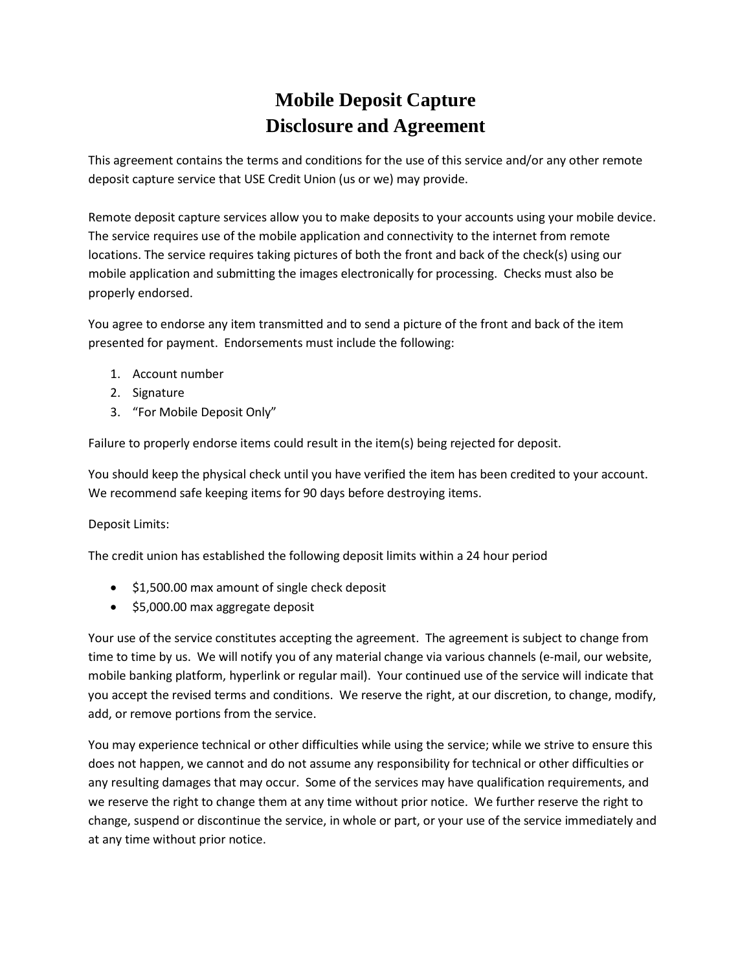## **Mobile Deposit Capture Disclosure and Agreement**

This agreement contains the terms and conditions for the use of this service and/or any other remote deposit capture service that USE Credit Union (us or we) may provide.

Remote deposit capture services allow you to make deposits to your accounts using your mobile device. The service requires use of the mobile application and connectivity to the internet from remote locations. The service requires taking pictures of both the front and back of the check(s) using our mobile application and submitting the images electronically for processing. Checks must also be properly endorsed.

You agree to endorse any item transmitted and to send a picture of the front and back of the item presented for payment. Endorsements must include the following:

- 1. Account number
- 2. Signature
- 3. "For Mobile Deposit Only"

Failure to properly endorse items could result in the item(s) being rejected for deposit.

You should keep the physical check until you have verified the item has been credited to your account. We recommend safe keeping items for 90 days before destroying items.

## Deposit Limits:

The credit union has established the following deposit limits within a 24 hour period

- \$1,500.00 max amount of single check deposit
- \$5,000.00 max aggregate deposit

Your use of the service constitutes accepting the agreement. The agreement is subject to change from time to time by us. We will notify you of any material change via various channels (e-mail, our website, mobile banking platform, hyperlink or regular mail). Your continued use of the service will indicate that you accept the revised terms and conditions. We reserve the right, at our discretion, to change, modify, add, or remove portions from the service.

You may experience technical or other difficulties while using the service; while we strive to ensure this does not happen, we cannot and do not assume any responsibility for technical or other difficulties or any resulting damages that may occur. Some of the services may have qualification requirements, and we reserve the right to change them at any time without prior notice. We further reserve the right to change, suspend or discontinue the service, in whole or part, or your use of the service immediately and at any time without prior notice.